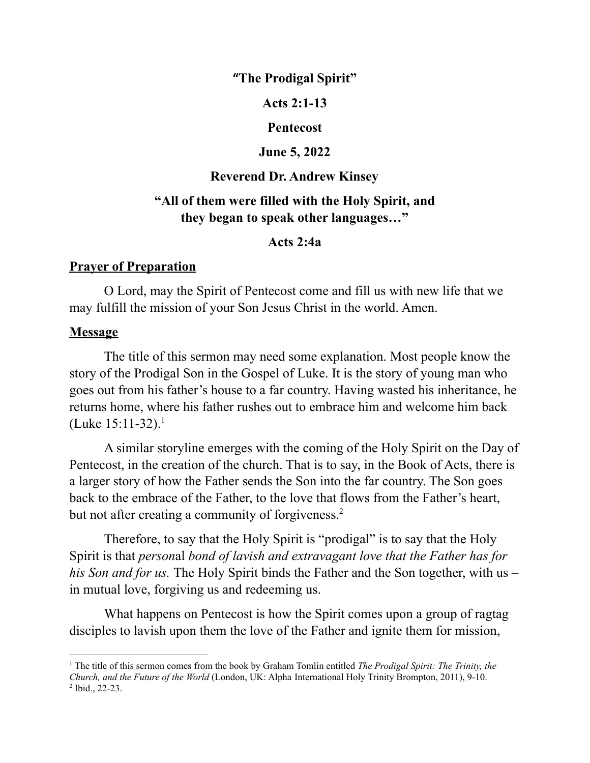**"The Prodigal Spirit"**

**Acts 2:1-13**

#### **Pentecost**

#### **June 5, 2022**

#### **Reverend Dr. Andrew Kinsey**

# **"All of them were filled with the Holy Spirit, and they began to speak other languages…"**

#### **Acts 2:4a**

## **Prayer of Preparation**

O Lord, may the Spirit of Pentecost come and fill us with new life that we may fulfill the mission of your Son Jesus Christ in the world. Amen.

### **Message**

The title of this sermon may need some explanation. Most people know the story of the Prodigal Son in the Gospel of Luke. It is the story of young man who goes out from his father's house to a far country. Having wasted his inheritance, he returns home, where his father rushes out to embrace him and welcome him back (Luke  $15:11-32$ ).<sup>1</sup>

A similar storyline emerges with the coming of the Holy Spirit on the Day of Pentecost, in the creation of the church. That is to say, in the Book of Acts, there is a larger story of how the Father sends the Son into the far country. The Son goes back to the embrace of the Father, to the love that flows from the Father's heart, but not after creating a community of forgiveness.<sup>2</sup>

Therefore, to say that the Holy Spirit is "prodigal" is to say that the Holy Spirit is that *person*al *bond of lavish and extravagant love that the Father has for his Son and for us.* The Holy Spirit binds the Father and the Son together, with us – in mutual love, forgiving us and redeeming us.

What happens on Pentecost is how the Spirit comes upon a group of ragtag disciples to lavish upon them the love of the Father and ignite them for mission,

<sup>2</sup> Ibid., 22-23. <sup>1</sup> The title of this sermon comes from the book by Graham Tomlin entitled *The Prodigal Spirit: The Trinity, the Church, and the Future of the World* (London, UK: Alpha International Holy Trinity Brompton, 2011), 9-10.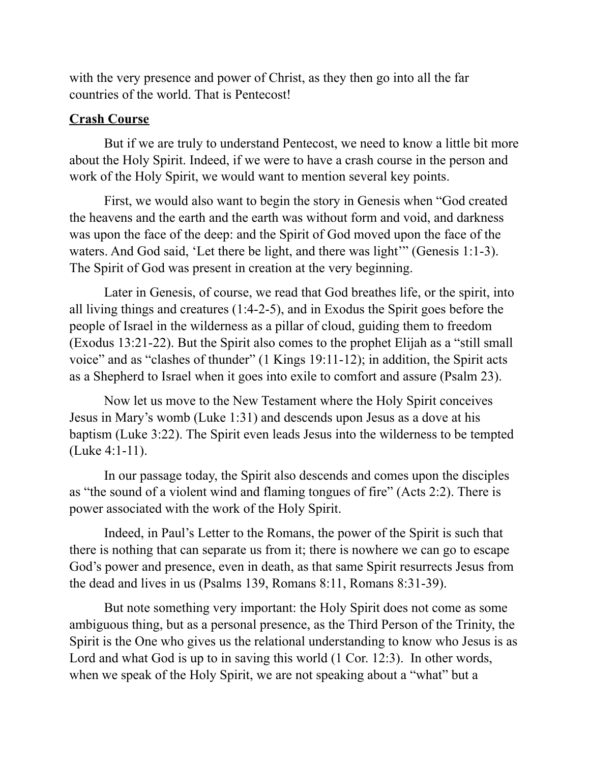with the very presence and power of Christ, as they then go into all the far countries of the world. That is Pentecost!

## **Crash Course**

But if we are truly to understand Pentecost, we need to know a little bit more about the Holy Spirit. Indeed, if we were to have a crash course in the person and work of the Holy Spirit, we would want to mention several key points.

First, we would also want to begin the story in Genesis when "God created the heavens and the earth and the earth was without form and void, and darkness was upon the face of the deep: and the Spirit of God moved upon the face of the waters. And God said, 'Let there be light, and there was light'" (Genesis 1:1-3). The Spirit of God was present in creation at the very beginning.

Later in Genesis, of course, we read that God breathes life, or the spirit, into all living things and creatures (1:4-2-5), and in Exodus the Spirit goes before the people of Israel in the wilderness as a pillar of cloud, guiding them to freedom (Exodus 13:21-22). But the Spirit also comes to the prophet Elijah as a "still small voice" and as "clashes of thunder" (1 Kings 19:11-12); in addition, the Spirit acts as a Shepherd to Israel when it goes into exile to comfort and assure (Psalm 23).

Now let us move to the New Testament where the Holy Spirit conceives Jesus in Mary's womb (Luke 1:31) and descends upon Jesus as a dove at his baptism (Luke 3:22). The Spirit even leads Jesus into the wilderness to be tempted (Luke 4:1-11).

In our passage today, the Spirit also descends and comes upon the disciples as "the sound of a violent wind and flaming tongues of fire" (Acts 2:2). There is power associated with the work of the Holy Spirit.

Indeed, in Paul's Letter to the Romans, the power of the Spirit is such that there is nothing that can separate us from it; there is nowhere we can go to escape God's power and presence, even in death, as that same Spirit resurrects Jesus from the dead and lives in us (Psalms 139, Romans 8:11, Romans 8:31-39).

But note something very important: the Holy Spirit does not come as some ambiguous thing, but as a personal presence, as the Third Person of the Trinity, the Spirit is the One who gives us the relational understanding to know who Jesus is as Lord and what God is up to in saving this world (1 Cor. 12:3). In other words, when we speak of the Holy Spirit, we are not speaking about a "what" but a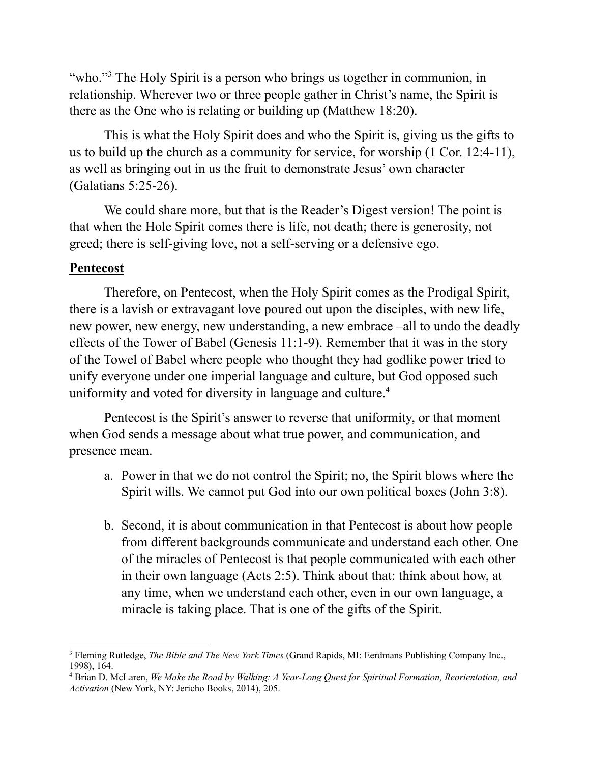"who."<sup>3</sup> The Holy Spirit is a person who brings us together in communion, in relationship. Wherever two or three people gather in Christ's name, the Spirit is there as the One who is relating or building up (Matthew 18:20).

This is what the Holy Spirit does and who the Spirit is, giving us the gifts to us to build up the church as a community for service, for worship (1 Cor. 12:4-11), as well as bringing out in us the fruit to demonstrate Jesus' own character (Galatians 5:25-26).

We could share more, but that is the Reader's Digest version! The point is that when the Hole Spirit comes there is life, not death; there is generosity, not greed; there is self-giving love, not a self-serving or a defensive ego.

# **Pentecost**

Therefore, on Pentecost, when the Holy Spirit comes as the Prodigal Spirit, there is a lavish or extravagant love poured out upon the disciples, with new life, new power, new energy, new understanding, a new embrace –all to undo the deadly effects of the Tower of Babel (Genesis 11:1-9). Remember that it was in the story of the Towel of Babel where people who thought they had godlike power tried to unify everyone under one imperial language and culture, but God opposed such uniformity and voted for diversity in language and culture. 4

Pentecost is the Spirit's answer to reverse that uniformity, or that moment when God sends a message about what true power, and communication, and presence mean.

- a. Power in that we do not control the Spirit; no, the Spirit blows where the Spirit wills. We cannot put God into our own political boxes (John 3:8).
- b. Second, it is about communication in that Pentecost is about how people from different backgrounds communicate and understand each other. One of the miracles of Pentecost is that people communicated with each other in their own language (Acts 2:5). Think about that: think about how, at any time, when we understand each other, even in our own language, a miracle is taking place. That is one of the gifts of the Spirit.

<sup>3</sup> Fleming Rutledge, *The Bible and The New York Times* (Grand Rapids, MI: Eerdmans Publishing Company Inc., 1998), 164.

<sup>4</sup> Brian D. McLaren, *We Make the Road by Walking: A Year-Long Quest for Spiritual Formation, Reorientation, and Activation* (New York, NY: Jericho Books, 2014), 205.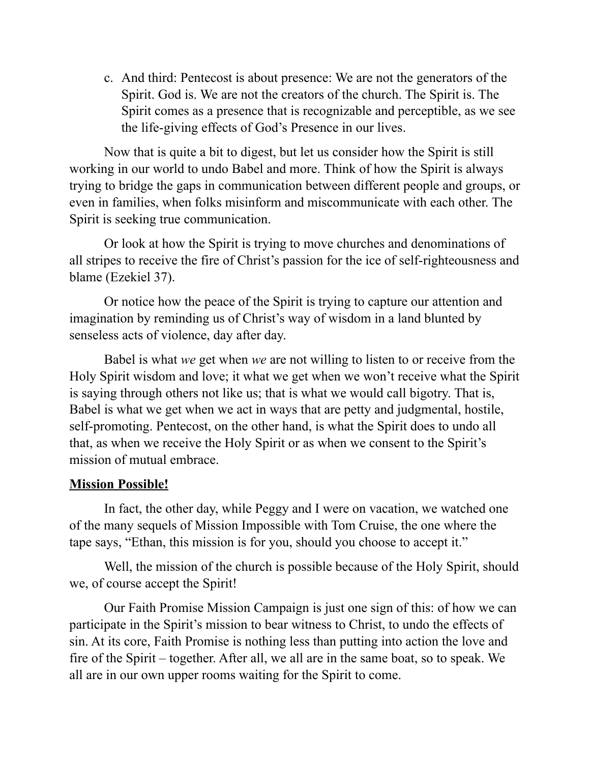c. And third: Pentecost is about presence: We are not the generators of the Spirit. God is. We are not the creators of the church. The Spirit is. The Spirit comes as a presence that is recognizable and perceptible, as we see the life-giving effects of God's Presence in our lives.

Now that is quite a bit to digest, but let us consider how the Spirit is still working in our world to undo Babel and more. Think of how the Spirit is always trying to bridge the gaps in communication between different people and groups, or even in families, when folks misinform and miscommunicate with each other. The Spirit is seeking true communication.

Or look at how the Spirit is trying to move churches and denominations of all stripes to receive the fire of Christ's passion for the ice of self-righteousness and blame (Ezekiel 37).

Or notice how the peace of the Spirit is trying to capture our attention and imagination by reminding us of Christ's way of wisdom in a land blunted by senseless acts of violence, day after day.

Babel is what *we* get when *we* are not willing to listen to or receive from the Holy Spirit wisdom and love; it what we get when we won't receive what the Spirit is saying through others not like us; that is what we would call bigotry. That is, Babel is what we get when we act in ways that are petty and judgmental, hostile, self-promoting. Pentecost, on the other hand, is what the Spirit does to undo all that, as when we receive the Holy Spirit or as when we consent to the Spirit's mission of mutual embrace.

# **Mission Possible!**

In fact, the other day, while Peggy and I were on vacation, we watched one of the many sequels of Mission Impossible with Tom Cruise, the one where the tape says, "Ethan, this mission is for you, should you choose to accept it."

Well, the mission of the church is possible because of the Holy Spirit, should we, of course accept the Spirit!

Our Faith Promise Mission Campaign is just one sign of this: of how we can participate in the Spirit's mission to bear witness to Christ, to undo the effects of sin. At its core, Faith Promise is nothing less than putting into action the love and fire of the Spirit – together. After all, we all are in the same boat, so to speak. We all are in our own upper rooms waiting for the Spirit to come.